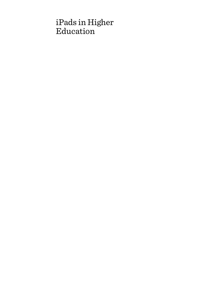# iPads in Higher Education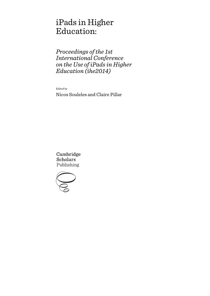# iPads in Higher Education:

*Proceedings of the 1st International Conference on the Use of iPads in Higher Education (ihe2014)* 

Edited by

Nicos Souleles and Claire Pillar

Cambridge **Scholars** Publishing

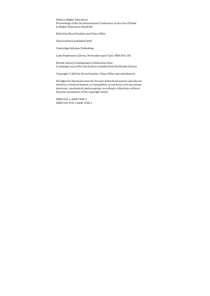iPads in Higher Education: Proceedings of the 1st International Conference on the Use of iPads in Higher Education (ihe2014)

Edited by Nicos Souleles and Claire Pillar

This book first published 2015

Cambridge Scholars Publishing

Lady Stephenson Library, Newcastle upon Tyne, NE6 2PA, UK

British Library Cataloguing in Publication Data A catalogue record for this book is available from the British Library

Copyright © 2015 by Nicos Souleles, Claire Pillar and contributors

All rights for this book reserved. No part of this book may be reproduced, stored in a retrieval system, or transmitted, in any form or by any means, electronic, mechanical, photocopying, recording or otherwise, without the prior permission of the copyright owner.

ISBN (10): 1-4438-7626-7 ISBN (13): 978-1-4438-7626-1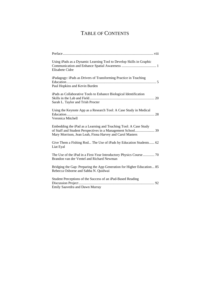## TABLE OF CONTENTS

| Using iPads as a Dynamic Learning Tool to Develop Skills in Graphic<br>Elisabete Cidre                                                                                                      |
|---------------------------------------------------------------------------------------------------------------------------------------------------------------------------------------------|
| iPadagogy: iPads as Drivers of Transforming Practice in Teaching<br>Paul Hopkins and Kevin Burden                                                                                           |
| iPads as Collaborative Tools to Enhance Biological Identification<br>Sarah L. Taylor and Trish Procter                                                                                      |
| Using the Keynote App as a Research Tool: A Case Study in Medical<br>Veronica Mitchell                                                                                                      |
| Embedding the iPad as a Learning and Teaching Tool: A Case Study<br>of Staff and Student Perspectives in a Management School 39<br>Mary Morrison, Jean Leah, Fiona Harvey and Carol Masters |
| Give Them a Fishing Rod The Use of iPads by Education Students 62<br>Liat Eyal                                                                                                              |
| The Use of the iPad in a First-Year Introductory Physics Course  70<br>Brandon van der Ventel and Richard Newman                                                                            |
| Bridging the Gap: Preparing the App Generation for Higher Education 85<br>Rebecca Osborne and Sabba N. Quidwai                                                                              |
| Student Perceptions of the Success of an iPad-Based Reading<br>Emily Saavedra and Dawn Murray                                                                                               |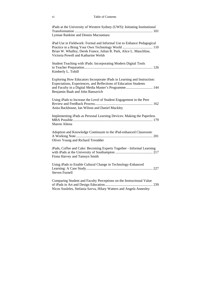| iPads at the University of Western Sydney (UWS): Initiating Institutional                                                                                                                                                                 |
|-------------------------------------------------------------------------------------------------------------------------------------------------------------------------------------------------------------------------------------------|
| Lynnae Rankine and Dennis Macnamara                                                                                                                                                                                                       |
| iPad Use in Fieldwork: Formal and Informal Use to Enhance Pedagogical<br>Practice in a Bring Your Own Technology World  110<br>Brian W. Whalley, Derek France, Julian R. Park, Alice L. Mauchline,<br>Victoria Powell and Katharine Welsh |
| Student Teaching with iPads: Incorporating Modern Digital Tools<br>Kimberly L. Tohill                                                                                                                                                     |
| Exploring How Educators Incorporate iPads in Learning and Instruction:<br>Expectations, Experiences, and Reflections of Education Students<br>and Faculty in a Digital Media Master's Programme 144<br>Benjamin Baab and John Bansavich   |
| Using iPads to Increase the Level of Student Engagement in the Peer<br>Anita Backhouse, Ian Wilson and Daniel Mackley                                                                                                                     |
| Implementing iPads as Personal Learning Devices: Making the Paperless<br>Sharon Altena                                                                                                                                                    |
| Adoption and Knowledge Continuum in the iPad-enhanced Classroom:<br>Oliver Young and Richard Tresidder                                                                                                                                    |
| iPads, Coffee and Cake: Becoming Experts Together - Informal Learning<br>Fiona Harvey and Tamsyn Smith                                                                                                                                    |
| Using iPads to Enable Cultural Change in Technology-Enhanced<br><b>Steven Furnell</b>                                                                                                                                                     |
| Comparing Student and Faculty Perceptions on the Instructional Value<br>Nicos Souleles, Stefania Savva, Hilary Watters and Angela Annesley                                                                                                |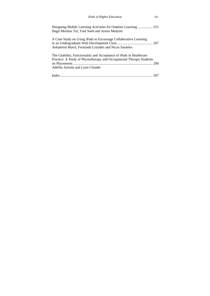| iPads in Higher Education |  |
|---------------------------|--|
|---------------------------|--|

| Hagit Meishar Tal, Yael Sneh and Arnon Medzini                                                                                                                                 |
|--------------------------------------------------------------------------------------------------------------------------------------------------------------------------------|
| A Case Study on Using iPads to Encourage Collaborative Learning<br>Aekaterini Mavri, Fernando Loizides and Nicos Souleles                                                      |
| The Usability, Functionality and Acceptance of iPads in Healthcare<br>Practice: A Study of Physiotherapy and Occupational Therapy Students<br>Adefila Arinola and Lynn Clouder |
|                                                                                                                                                                                |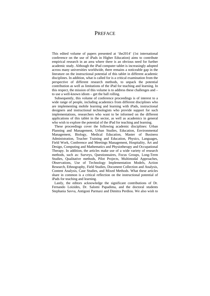### **PREFACE**

This edited volume of papers presented at 'ihe2014' (1st international conference on the use of iPads in Higher Education) aims to contribute empirical research in an area where there is an obvious need for further academic study. Although the iPad computer tablet is increasingly adopted across many universities worldwide, there remains a noticeable gap in the literature on the instructional potential of this tablet in different academic disciplines. In addition, what is called for is a critical examination from the perspective of different research methods, to unpack the potential contribution as well as limitations of the iPad for teaching and learning. In this respect, the mission of this volume is to address these challenges and – to use a well-known idiom – get the ball rolling.

 Subsequently, this volume of conference proceedings is of interest to a wide range of people, including academics from different disciplines who are implementing mobile learning and learning with iPads, instructional designers and instructional technologists who provide support for such implementations, researchers who want to be informed on the different applications of this tablet in the sector, as well as academics in general who wish to explore the potential of the iPad for teaching and learning.

These proceedings cover the following academic disciplines: Urban Planning and Management, Urban Studies, Education, Environmental Management, Biology, Medical Education, Master of Business Administration, Teacher Training and Education, Physics, Languages, Field Work, Conference and Meetings Management, Hospitality, Art and Design, Computing and Mathematics and Physiotherapy and Occupational Therapy. In addition, the articles make use of a wide variety of research methods, such as: Surveys, Questionnaires, Focus Groups, Long-Term Studies, Qualitative methods, Pilot Projects, Multimodal Approaches, Observations, Use of Technology Implementation Models, Action Research, Ethnography, Field Studies, Document Collection and Analysis, Content Analysis, Case Studies, and Mixed Methods. What these articles share in common is a critical reflection on the instructional potential of iPads for teaching and learning.

Lastly, the editors acknowledge the significant contributions of Dr. Fernando Loizides, Dr. Salomi Papadima, and the doctoral students Stephania Savva, Antigoni Parmaxi and Dimitra Perdiou. We also wish to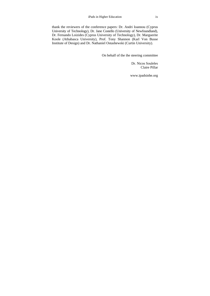thank the reviewers of the conference papers: Dr. Andri Ioannou (Cyprus University of Technology), Dr. Jane Costello (University of Newfoundland), Dr. Fernando Loizides (Cyprus University of Technology), Dr. Marguerite Koole (Athabasca University), Prof. Tony Shannon (Karl Von Busse Institute of Design) and Dr. Nathaniel Ostashewski (Curtin University).

On behalf of the ihe steering committee

Dr. Nicos Souleles Claire Pillar

www.ipadsinhe.org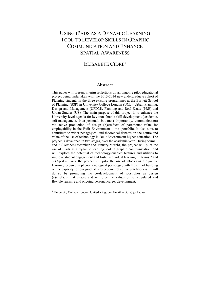## USING IPADS AS A DYNAMIC LEARNING TOOL TO DEVELOP SKILLS IN GRAPHIC COMMUNICATION AND ENHANCE SPATIAL AWARENESS

## ELISABETE CIDRE<sup>1</sup>

#### **Abstract**

This paper will present interim reflections on an ongoing pilot educational project being undertaken with the 2013-2014 new undergraduate cohort of Planning students in the three existing programmes at the Bartlett School of Planning (BSP) in University College London (UCL): Urban Planning, Design and Management (UPDM), Planning and Real Estate (PRE) and Urban Studies (US). The main purpose of this project is to enhance the University-level agenda for key transferable skill development (academic, self-management, inter-personal, but most importantly, communication) via active production of design (e)artefacts of paramount value for employability in the Built Environment – the iportfolio. It also aims to contribute to wider pedagogical and theoretical debates on the nature and value of the use of technology in Built Environment higher education. The project is developed in two stages, over the academic year. During terms 1 and 2 (October-December and January-March), the project will pilot the use of iPads as a dynamic learning tool in graphic communication, and will explore the potential of technology-enabled features and utilities to improve student engagement and foster individual learning. In terms 2 and 3 (April - June), the project will pilot the use of iBooks as a dynamic learning resource in phenomenological pedagogy, with the aim of building on the capacity for our graduates to become reflective practitioners. It will do so by promoting the co-development of iportfolios as design (e)artefacts that enable and reinforce the values of self-regulated and flexible learning and ongoing personal/career development.

l

<sup>&</sup>lt;sup>1</sup> University College London, United Kingdom. Email: e.cidre@ucl.ac.uk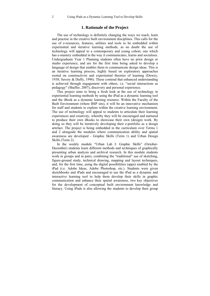#### **1. Rationale of the Project**

The use of technology is definitely changing the ways we teach, learn and practise in the creative built environment disciplines. This calls for the use of e-resources, features, utilities and tools to be embedded within experiential and iterative learning methods, as no doubt the use of technology will appeal to a contemporary and young cohort, one which has e-mastery embedded in the way it communicates, learns and socialises. Undergraduate Year 1 Planning students often have no prior design or studio experience, and are for the first time being asked to develop a language of design that enables them to communicate design ideas. This is an iterative learning process, highly based on exploratory approaches rooted on constructivist and experiential theories of learning (Dewey, 1938; Savery & Duffy, 1996). These contend that enhanced understanding is achieved through engagement with others, i.e. "social interactions as pedagogy" (Shaffer, 2007), discovery and personal experience.

This project aims to bring a fresh look at the use of technology in experiential learning methods by using the iPad as a dynamic learning tool and the iBook as a dynamic learning resource. Within the Faculty of the Built Environment (where BSP sits), it will be an innovative mechanism for staff and students to explore within the creative learning environment. The use of technology will appeal to students to articulate their learning experiences and creativity, whereby they will be encouraged and nurtured to produce their own iBooks to showcase their own (design) work. By doing so they will be iteratively developing their e-portfolio as a design artefact. The project is being embedded in the curriculum over Terms 1 and 2 alongside the modules where communication ability and spatial awareness are developed - Graphic Skills (Term 1) and Urban Design Skills (Term 2).

In the weekly module "Urban Lab I: Graphic Skills" (October-December) students learn different methods and techniques of graphically presenting urban analysis and archival research. In this module students work in groups and in pairs, combining the "traditional" use of sketching, figure-ground study, technical drawing, mapping and layout techniques, and, for the first time, using the digital possibilities (apps) enabled by the iPad (i.e. Adobe Ideas, Adobe Photoshop, etc.). Students were given sketchbooks and iPads and encouraged to use the iPad as a dynamic and interactive learning tool to help them develop their skills in graphic communication and enhance their spatial awareness, two key objectives for the development of conceptual built environment knowledge and literacy. Using iPads is also allowing the students to develop their group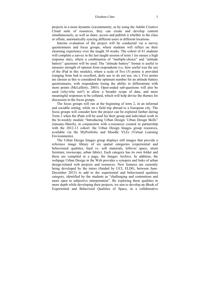projects in a more dynamic (e)community, as by using the Adobe Creative Cloud suite of resources, they can create and develop content simultaneously, as well as share, access and publish it whether in the class or offsite, automatically syncing different users in different locations.

Interim evaluation of the project will be conducted via a survey questionnaire and focus groups, where students will reflect on their elearning experience over the taught 10 weeks. The cohort of 61 students will complete a survey in the last taught session of term 1 (to ensure a high response rate), where a combination of "multiple-choice" and "attitude battery" questions will be used. The "attitude battery" format is useful to measure strength of opinion from respondents (i.e. how useful was the use of the iPad in this module), where a scale of five (5) points is provided (ranging from bad to excellent, daily use to do not use, etc.). Five points are chosen as this is considered the optimum number for an attitude battery questionnaire, with respondents losing the ability to differentiate with more points (McLafferty, 2003). Open-ended sub-questions will also be used (why/why not?) to allow a broader scope of data, and more meaningful responses to be collated, which will help devise the themes for discussion in the focus groups.

The focus groups will run at the beginning of term 2, in an informal and sociable setting, while on a field trip abroad to a European city. The focus groups will consider how the project can be explored further during Term 2 when the iPads will be used for their group and individual work in the bi-weekly module "Introducing Urban Design: Urban Design Skills" (January-March), in conjunction with e-resources created in partnership with the 2012-13 cohort: the Urban Design Images group resources, available via the MyPortfolio and Moodle VLEs (Virtual Learning Environments).

The Urban Design Images group displays still images that provide a reference image library of six spatial categories (experiential and behavioural qualities, hard vs. soft materials, leftover space, street furniture, townscape, urban fabric). Each category has its own folder and these are compiled in a page, the Images Archive. In addition, the webpage Urban Design in the Web provides a synopsis and links of urban design-related web projects and resources. New features are currently being developed by the tutors (funded by UCL ELDG, between June-December 2013) to add to the experiential and behavioural qualities category, identified by the students as "challenging and contentious and more open to subjective interpretation". By exploring these qualities in more depth while developing their projects, we aim to develop an iBook of Experiential and Behavioral Qualities of Space, in a collaborative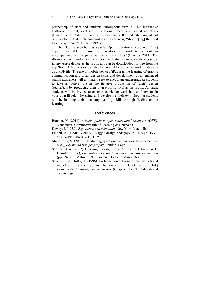partnership of staff and students, throughout term 2. This interactive textbook (of text, evolving illustrations, image and sound narratives [filmed using iPads], quizzes) aims to enhance the understanding of not only spatial but also phenomenological awareness, "shorten[ing] the road to self-experience" (Findeli, 1990).

The iBook is seen here as a useful Open Educational Resource (OER) "openly available for use by educators and students, without an accompanying need to pay royalties or licence fees" (Butcher, 2011). The iBooks' content and all of the interactive features can be easily accessible in any Apple device as the iBook app can be downloaded for free from the app Store. A lite version can also be created for access in Android devices as a PDF file. The use of mobile devices (iPads) in the learning of graphic communication and urban design skills and development of an enhanced spatial awareness will ultimately seek to encourage undergraduate students to take an active role in the iterative production of (their) design (e)artefacts by producing their own e-portfolio(s) as an iBook. As such, students will be invited to an extra-curricular workshop on "how to do your own iBook". By using and developing their own iBook(s) students will be building their own employability skills through flexible online learning.

#### **References**

- Butcher, N. (2011). *A basic guide to open educational resources (OER).* Vancouver: Commonwealth of Learning & UNESCO.
- Dewey, J. (1938). *Experience and education*. New York: Macmillan.
- Findeli, A. (1990). Moholy Nagy's design pedagogy in Chicago (1937- 46). *Design Issues, 7*(1), 4-19.
- McLafferty, S. (2003). Conducting questionnaire surveys. In G. Valentine (Ed.), *Key methods in geography*. London: Sage.
- Shaffer, D. W. (2007). Learning in design. In R. A. Lesh, J. J. Kaput, & E. Hamilton (Eds.), *Foundations for the future in mathematics education* (pp. 99-126). Mahweh, NJ: Lawrence Erlbaum Associates.
- Savery, J., & Duffy, T. (1996). Problem based learning: an instructional model and its constructivist framework. In B. G. Wilson (Ed.) *Constructivist learning environments* (Chapter 11). NJ: Educational Technology.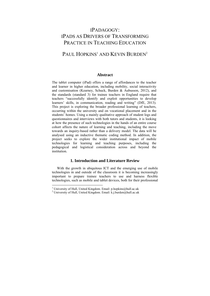## IPADAGOGY: IPADS AS DRIVERS OF TRANSFORMING PRACTICE IN TEACHING EDUCATION

## PAUL HOPKINS<sup>1</sup> AND KEVIN BURDEN<sup>2</sup>

#### **Abstract**

The tablet computer (iPad) offers a range of affordances to the teacher and learner in higher education, including mobility, social interactivity and customisation (Kearney, Schuck, Burden & Aubusson, 2012), and the standards (standard 3) for trainee teachers in England require that teachers "successfully identify and exploit opportunities to develop learners' skills, in communication, reading and writing" (DfE, 2013). This project is exploring the broader professional learning of teachers, occurring within the university and on vocational placement and in the students' homes. Using a mainly qualitative approach of student logs and questionnaires and interviews with both tutors and students, it is looking at how the presence of such technologies in the hands of an entire course cohort affects the nature of learning and teaching, including the move towards an inquiry-based rather than a delivery model. The data will be analysed using an inductive thematic coding method. In addition, the project seeks to explore the wider institutional impact of mobile technologies for learning and teaching purposes, including the pedagogical and logistical consideration across and beyond the institution.

#### **1. Introduction and Literature Review**

With the growth in ubiquitous ICT and the emerging use of mobile technologies in and outside of the classroom it is becoming increasingly important to prepare trainee teachers to use and harness flexible technologies, such as mobile and tablet devices, both for their professional

<sup>&</sup>lt;sup>1</sup> University of Hull, United Kingdom. Email: p.hopkins@hull.ac.uk<br><sup>2</sup> University of Hull, United Kingdom. Email: k.j. byrden@hull.ac.uk

<sup>&</sup>lt;sup>2</sup> University of Hull, United Kingdom. Email: k.j.burden@hull.ac.uk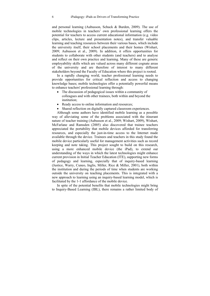and personal learning (Aubusson, Schuck & Burden, 2009). The use of mobile technologies in teachers' own professional learning offers the potential for teachers to access current educational information (e.g. video clips, articles, lecture and presentation notes), and transfer valuable learning and teaching resources between their various bases, which include the university itself, their school placements and their homes (Wishart, 2009; Aubusson et al., 2009). In addition, it offers opportunities for students to collaborate with other students (and teachers) and to analyse and reflect on their own practice and learning. Many of these are generic employability skills which are valued across many different cognate areas of the university and are therefore of interest to many different stakeholders beyond the Faculty of Education where this project is rooted.

In a rapidly changing world, teacher professional learning needs to provide opportunities for critical reflection and access to changing knowledge bases; mobile technologies offer a potentially powerful means to enhance teachers' professional learning through:

- The discussion of pedagogical issues within a community of colleagues and with other trainees, both within and beyond the institution;
- Ready access to online information and resources;
- Shared reflection on digitally captured classroom experiences.

Although some authors have identified mobile learning as a possible way of alleviating some of the problems associated with the itinerant nature of teacher training (Aubusson et al., 2009; Wishart, 2009), Wishart, McFarlane and Ramsden (2005) also discovered that trainee teachers appreciated the portability that mobile devices afforded for transferring resources, and especially the just-in-time access to the Internet made available through the device. Trainees and teachers in this study found the mobile device particularly useful for management activities such as record keeping and note taking. This project sought to build on this research, using a more enhanced mobile device (the iPad), to extend our understanding of the ways in which the latest technologies might enhance current provision in Initial Teacher Education (ITE), supporting new forms of pedagogy and learning, especially that of inquiry-based learning (Justice, Warry, Cuneo, Inglis, Miller, Rice & Miller, 2001), both within the institution and during the periods of time when students are working outside the university on teaching placements. This is integrated with a new approach to learning using an inquiry-based learning model, which is facilitated by the 1-1 affordance of the mobile device.

In spite of the potential benefits that mobile technologies might bring to Inquiry-Based Learning (IBL), there remains a rather limited body of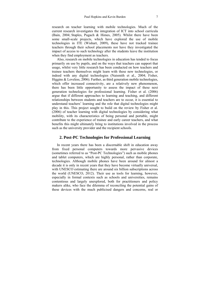research on teacher learning with mobile technologies. Much of the current research investigates the integration of ICT into school curricula (Bain, 2004; Staples, Pugach & Himes, 2005). Whilst there have been some small-scale projects, which have explored the use of mobile technologies in ITE (Wishart, 2009), these have not tracked trainee teachers through their school placements nor have they investigated the impact of access to such technology after the students leave the institution when they find employment as teachers.

Also, research on mobile technologies in education has tended to focus primarily on use by pupils, and on the ways that teachers can support that usage, whilst very little research has been conducted on how teachers and trainee teachers themselves might learn with these new technologies, or indeed with any digital technologies (Naismith et al., 2004; Fisher, Higgins & Loveless, 2006). Further, as third generation mobile technologies, which offer increased connectivity, are a relatively new phenomenon, there has been little opportunity to assess the impact of these next generation technologies for professional learning. Fisher et al. (2006) argue that if different approaches to learning and teaching, and different relationships between students and teachers are to occur, it is essential to understand teachers' learning and the role that digital technologies might play in this. This project sought to build on the review by Fisher et al. (2006) of teacher learning with digital technologies by considering what mobility, with its characteristics of being personal and portable, might contribute to the experience of trainee and early career teachers, and what benefits this might ultimately bring to institutions involved in the process such as the university provider and the recipient schools.

#### **2. Post-PC Technologies for Professional Learning**

In recent years there has been a discernable shift in education away from fixed personal computers towards more pervasive devices (sometimes referred to as "Post-PC Technologies") such as mobile phones and tablet computers, which are highly personal, rather than corporate, technologies. Although mobile phones have been around for almost a decade it is only in recent years that they have become virtually universal, with UNESCO estimating there are around six billion subscriptions across the world (UNESCO, 2012). Their use as tools for learning, however, especially in formal contexts such as schools and universities, remains contentious and largely unexplored, both for practitioners and policy makers alike, who face the dilemma of reconciling the potential gains of these devices with the much publicised dangers and concerns, real or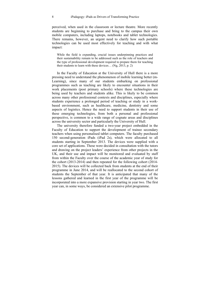perceived, when used in the classroom or lecture theatre. More recently students are beginning to purchase and bring to the campus their own mobile computers, including laptops, notebooks and tablet technologies. There remains, however, an urgent need to clarify how such portable technologies can be used most effectively for teaching and with what impact:

While the field is expanding, crucial issues underpinning practices and their sustainability remain to be addressed such as the role of teachers and the type of professional development required to prepare them for teaching their students to learn with these devices… (Ng, 2013, p. 2)

In the Faculty of Education at the University of Hull there is a more pressing need to understand the phenomenon of mobile learning better (m-Learning), since many of our students embarking on professional programmes such as teaching are likely to encounter situations in their work placements (post primary schools) where these technologies are being used by teachers and students alike. This is likely to be common across many other professional contexts and disciplines, especially where students experience a prolonged period of teaching or study in a workbased environment, such as healthcare, medicine, dentistry and some aspects of logistics. Hence the need to support students in their use of these emerging technologies, from both a personal and professional perspective, is common to a wide range of cognate areas and disciplines across the university sector and particularly the University of Hull.

The university therefore funded a two-year project embedded in the Faculty of Education to support the development of trainee secondary teachers when using personalised tablet computers. The faculty purchased 150 second-generation iPads (iPad 2s), which were allocated to all students starting in September 2013. The devices were supplied with a core set of applications. These were decided in consultation with the tutors and drawing on the project leaders' experience from other projects in the UK, and their use and impact will be monitored and evaluated by staff from within the Faculty over the course of the academic year of study for the cohort (2013-2014) and then repeated for the following cohort (2014- 2015). The devices will be collected back from students at the end of their programme in June 2014, and will be reallocated to the second cohort of students the September of that year. It is anticipated that many of the lessons gathered and learned in the first year of the programme will be incorporated into a more expansive provision starting in year two. The first year can, in some ways, be considered an extensive pilot programme.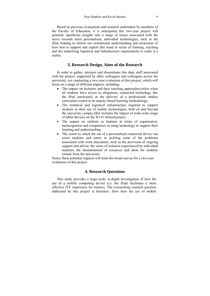Based on previous evaluations and research undertaken by members of the Faculty of Education, it is anticipated this two-year project will generate significant insights into a range of issues associated with the move towards more personalised, individual technologies, such as the iPad, helping to inform our institutional understanding and awareness of how best to support and exploit this trend in terms of learning, teaching and the underlying logistical and infrastructure requirements to make it a reality.

#### **3. Research Design, Aims of the Research**

In order to gather, interpret and disseminate this data, staff associated with the project, supported by other colleagues and colleagues across the university, are conducting a two-year evaluation of this project, which will focus on a range of different impacts, including:

- The impact on lecturers and their teaching approaches/styles when all students have access to ubiquitous, connected technology like the iPad, particuarly in the delivery of a professional studies curriculum rooted in an inquiry-based learning methodology;
- The technical and logistical infrastructure required to support students in their use of mobile technologies, both on and beyond the university campus (this includes the impact of wide-scale usage of tablet devices on the Wi-Fi infrastructure);
- The impact on students as learners in terms of organisation, metacognition and competence in using technology to support their learning and understanding;
- The extent to which the use of a personalised connected device can assist students and tutors in tackling some of the problems associated with work placement, such as the provision of ongoing support and advice; the sense of isolation experienced by individual students; the dissemination of resources and ideas for students remote from the university.

Hence these potential impacts will form the broad canvas for a two-year evaluation of this project.

#### **4. Research Questions**

This study provides a large-scale, in-depth investigation of how the use of a mobile computing device (i.e. the iPad) facilitates a more effective ITE experience for trainees. The overarching research question addressed by this project is therefore: How does the use of mobile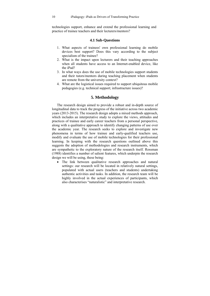technologies support, enhance and extend the professional learning and practice of trainee teachers and their lecturers/mentors?

#### **4.1 Sub-Questions**

- 1. What aspects of trainees' own professional learning do mobile devices best support? Does this vary according to the subject specialism of the trainee?
- 2. What is the impact upon lecturers and their teaching approaches when all students have access to an Internet-enabled device, like the iPad?
- 3. In what ways does the use of mobile technologies support students and their tutors/mentors during teaching placement when students are remote from the university context?
- 4. What are the logistical issues required to support ubiquitous mobile pedagogies (e.g. technical support; infrastructure issues)?

#### **5. Methodology**

The research design aimed to provide a robust and in-depth source of longitudinal data to track the progress of the initiative across two academic years (2013-2015). The research design adopts a mixed methods approach, which includes an interpretative study to explore the views, attitudes and practices of trainee and early career teachers from a personal perspective, along with a qualitative approach to identify changing patterns of use over the academic year. The research seeks to explore and investigate new phenomena in terms of how trainee and early-qualified teachers use, modify and evaluate the use of mobile technologies for their professional learning. In keeping with the research questions outlined above this suggests the adoption of methodologies and research instruments, which are sympathetic to the exploratory nature of the research itself. Rossman (1988) identifies a number of salient features, which underpin the research design we will be using, these being:

• The link between qualitative research approaches and natural settings: our research will be located in relatively natural settings, populated with actual users (teachers and students) undertaking authentic activities and tasks. In addition, the research team will be highly involved in the actual experiences of participants, which also characterises "naturalistic" and interpretative research.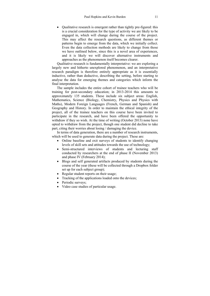• Oualitative research is emergent rather than tightly pre-figured: this is a crucial consideration for the type of activity we are likely to be engaged in, which will change during the course of the project. This may affect the research questions, as different themes or patterns begin to emerge from the data, which we initially collect. Even the data collection methods are likely to change from those we have outlined below, since this is a novel area of experiences, and it is likely we will discover alternative instruments and approaches as the phenomenon itself becomes clearer.

Qualitative research is fundamentally interpretative: we are exploring a largely new and hitherto unexplored phenomenon, and an interpretative research paradigm is therefore entirely appropriate as it is essentially inductive, rather than deductive, describing the setting, before starting to analyse the data for emerging themes and categories which inform the final interpretation.

The sample includes the entire cohort of trainee teachers who will be training for post-secondary education; in 2013-2014 this amounts to approximately 135 students. These include six subject areas: English, Mathematics, Science (Biology, Chemistry, Physics and Physics with Maths), Modern Foreign Languages (French, German and Spanish) and Geography and History. In order to maintain the ethical integrity of the project, all of the trainee teachers on this course have been invited to participate in the research, and have been offered the opportunity to withdraw if they so wish. At the time of writing (October 2013) none have opted to withdraw from the project, though one student did decline to take part, citing their worries about losing / damaging the device.

In terms of data generation, there are a number of research instruments, which will be used to generate data during the project. These are:

- Online baseline and exit surveys of students to identify changing levels of skill sets and attitudes towards the use of technology;
- Semi-structured interviews of students and lecturing staff conducted by researchers at the end of phase II (November 2013) and phase IV (February 2014);
- Blogs and self generated artifacts produced by students during the course of the year (these will be collected through a Dropbox folder set up for each subject group);
- Regular student reports on their usage;
- Tracking of the applications loaded onto the devices;
- Periodic surveys;
- Video case studies of particular usage.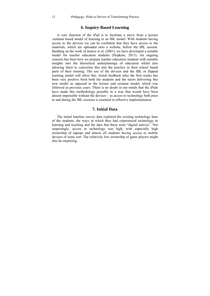#### **6. Inquiry-Based Learning**

A core function of the iPad is to facilitate a move from a lecture /seminar based model of learning to an IBL model. With students having access to the devices we can be confident that they have access to the materials, which are uploaded onto a website, before the IBL session. Building on the work of Justice et al. (2001), we have developed a suitable model for teacher education students (Hopkins, 2013). An ongoing concern has been how we prepare teacher education students with suitable insights into the theoretical underpinnings of education whilst also allowing them to concretise this into the practice in their school based parts of their training. The use of the devices and the IBL or flipped learning model will allow this. Initial feedback after the first weeks has been very positive from both the students and the tutors delivering this new model as opposed to the lecture and seminar model, which was followed in previous years. There is no doubt in our minds that the iPads have made this methodology possible in a way that would have been almost impossible without the devices – as access to technology both prior to and during the IBL sessions is essential to effective implementation.

#### **7. Initial Data**

The initial baseline survey data explored the existing technology base of the students, the ways in which they had experienced technology in learning and teaching and the idea that these were "digital natives". Not surprisingly, access to technology was high, with especially high ownership of laptops and almost all students having access to mobile devices of some sort. The relatively low ownership of game players might also be surprising.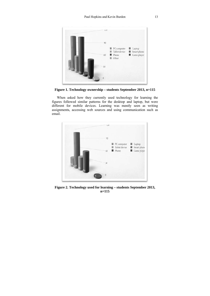

**Figure 1. Technology o ownership – s students Sept tember 2013, , n=115**

When asked how they currently used technology for learning the figures followed similar patterns for the desktop and laptop, but were different for mobile devices. Learning was mostly seen as writing assignments, accessing web sources and using communication such as email.



Figure 2. Technology used for learning – students September 2013, **n=11 15**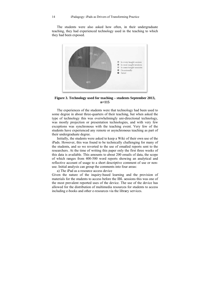The students were also asked how often, in their undergraduate teaching, they had experienced technology used in the teaching to which they had been exposed.



Figure 3. Technology used for teaching – students September 2013, **n=11 15** 

The experiences of the students were that technology had been used to some degree in about three-quarters of their teaching, but when asked the type of technology this was overwhelmingly uni-directional technology, was mostly projection or presentation technologies, and with very few exceptions was synchronous with the teaching event. Very few of the students have experienced any remote or asynchronous teaching as part of their undergraduate degree.

Initially, the students were asked to keep a Wiki of their own use of the iPads. However, this was found to be technically challenging for many of the students, and so we reverted to the use of emailed reports sent to the researchers. At the time of writing this paper only the first three weeks of this data is available. This amounts to about 200 emails of data, the scope of which ranges from 400-500 word reports showing an analytical and reflective account of usage to a short descriptive comment of use or nonuse. Initial analysis can group the comments into four areas:

a) The iPad as a resource access device Given the nature of the inquiry-based learning and the provision of materials for the students to access before the IBL sessions this was one of the most prevalent reported uses of the device. The use of the device has allowed for the distribution of multimedia resources for students to access including e-books and other e-resources via the library services.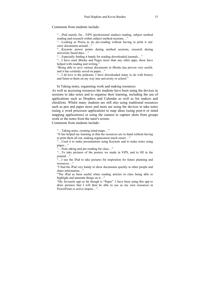#### Comments from students include:

"…iPad mainly for... FiPS (professional studies) reading, subject method reading and research within subject method sessions…"

"…Looking at Prezis, to do pre-reading without having to print it out/ carry documents around…"

"…Keynote power points during method sessions, research during university based days…"

"…Especially finding it handy for reading downloaded journals…"

"…I have used iBooks and Pages more than any other apps, these have helped with reading and writing."

"Being able to save various documents in iBooks has proven very useful, and it has certainly saved on paper…"

"…I do love is the podcasts, I have downloaded many to do with history and listen to them on my way into university or school."

b) Taking notes, organising work and making resources

As well as accessing resources the students have been using the devices in sessions to take notes and to organise their learning, including the use of applications such as Dropbox and Calendar as well as list makers and checklists. Whilst many students are still also using traditional resources such as pen and paper more and more are using the devices to take notes (using a word processor application) to map ideas (using post-it or mind mapping applications) or using the camera to capture shots from groups work or the notes from the tutor's screen.

Comments from students include:

"…Taking notes, creating mind-maps…"

"It has helped my learning in that the resources are to hand without having to print them all out, making organisation much easier…"

"…Used it to make presentations using Keynote and to make notes using pages…"

"…Note taking and pre-reading for class…"

"…To take pictures of the posters we made in FiPS, and to fill in the journal…"

"…I use the iPad to take pictures for inspiration for future planning and resources…"

"I find the iPad very handy to show documents quickly to other people and share information…"

"The iPad as been useful when reading articles in class being able to highlight and annotate things on it…"

"My favourite app so far though is "Paper". I have been using this app to draw pictures that I will then be able to use as my own resources in PowerPoint or active inspire…"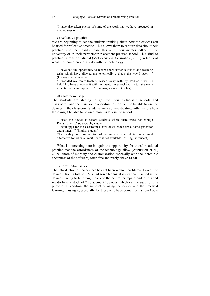"I have also taken photos of some of the work that we have produced in method sessions…"

#### c) Reflective practice

We are beginning to see the students thinking about how the devices can be used for reflective practice. This allows them to capture data about their practice, and then easily share this with their mentor either in the university or in their partnership placement practice school. This kind of practice is transformational (McCormick & Scrimshaw, 2001) in terms of what they could previously do with the technology.

"I have had the opportunity to record short starter activities and teaching tasks which have allowed me to critically evaluate the way I teach…" (History student teacher)

"I recorded my micro-teaching lesson today with my iPad so it will be helpful to have a look at it with my mentor in school and try to raise some aspects that I can improve…" (Languages student teacher)

#### d) Classroom usage

The students are starting to go into their partnership schools and classrooms, and there are some opportunities for them to be able to use the devices in the classroom. Students are also investigating with mentors how these might be able to be used more widely in the school.

"I used the device to record students where there were not enough Dictaphones…" (Geography student) "Useful apps for the classroom I have downloaded are a name generator

and a timer…" (English student)

"The ability to draw on top of documents using Sketch is a great alternative for when a Smart board is not available…" (English student)

What is interesting here is again the opportunity for transformational practice that the affordances of the technology allow (Aubussion et al., 2009), those of mobility and customszation especially with the incredible cheapness of the software, often free and rarely above £1.00.

#### e) Some initial issues

The introduction of the devices has not been without problems. Two of the devices (from a total of 150) had some technical issues that resulted in the devices having to be brought back to the centre for repair, and to this end we do have a stock of "replacement" devices, which can be used for this purpose. In addition, the mindset of using the device and the practical learning in using it, especially for those who have come from a non-Apple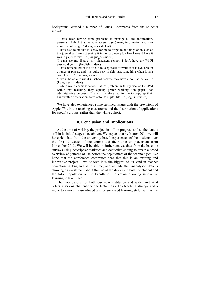background, caused a number of issues. Comments from the students include:

"I have been having some problems to manage all the information, personally I think that we have access to (so) many information what can make it confusing…" (Languages student)

"I have also found that it is easy for me to forget to do things on it, such as the journal as I am not seeing it in my bag everyday like I would have it was in paper format…" (Languages student)

"I can't use my iPad at my placement school, I don't have the Wi-Fi password yet…" (English student)

"I have noticed that it is difficult to keep track of work as it is available in a range of places, and it is quite easy to skip past something when it isn't completed…" (Languages student)

"I won't be able to use it in school because they have a no iPad policy…" (Languages student)

 "While my placement school has no problem with my use of the iPad within my teaching, they equally prefer working "on paper" for administrative purposes. This will therefore require me to copy up their handwritten observation notes onto the digital file..." (English student)

We have also experienced some technical issues with the provisions of Apple TVs in the teaching classrooms and the distribution of applications for specific groups, rather than the whole cohort.

#### **8. Conclusion and Implications**

At the time of writing, the project in still in progress and so the data is still in its initial stages (see above). We expect that by March 2014 we will have rich data from the university-based experiences of the students over the first 12 weeks of the course and their time on placement from November 2013. We will be able to further analyse data from the baseline surveys using descriptive statistics and deductive coding to create a broad overview of patterns of use before the deployment of the technologies. We hope that the conference committee sees that this is an exciting and innovative project – we believe it is the biggest of its kind in teacher education in England at this time, and already the unanalysed data is showing an excitement about the use of the devices in both the student and the tutor population of the Faculty of Education allowing innovative learning to take place.

The implications for both our own institution and wider arethat it offers a serious challenge to the lecture as a key teaching strategy and a move to a more inquiry-based and personalised learning style that has the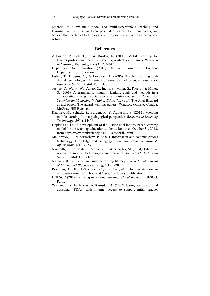potential to allow multi-model and multi-synchronous teaching and learning. Whilst this has been postulated widely for many years, we believe that the tablet technologies offer a practice as well as a pedagogic solution.

#### **References**

- Aubusson, P., Schuck, S., & Burden, K. (2009). Mobile learning for teacher professional learning: Benefits, obstacles and issues. *Research in Learning Technology, 17*(3), 233-247.
- Department for Education (2012). *Teachers' standards*. London: Department for Education.
- Fisher, T., Higgins, C., & Loveless, A. (2006). Teacher learning with digital technologies: A review of research and projects. *Report 14*. *Futurelab Series*. Bristol: Futurelab.
- Justice, C., Warry, W., Cuneo, C., Inglis, S., Miller, S., Rice, J., & Miller, S. (2001). A grammar for inquiry: Linking goals and methods in a collaboratively taught social sciences inquiry course. In *Society for Teaching and Learning in Higher Education* (Ed.), The Alan Blizzard award paper: The award winning papers. Windsor, Ontario, Canada: McGraw-Hill Ryerson.
- Kearney, M., Schuck, S., Burden, K., & Aubusson, P. (2012). Viewing mobile learning from a pedagogical perspective*. Research in Learning Technology, 20*(1), 14406.
- Hopkins (2013). A development of the Justice et al inquiry based learning model for the teaching education students. Retrieved October 31, 2013, from http://www.mmiweb.org.uk/hull/site/ibl/ibl.html
- McCormick, R., & Scrimshaw, P. (2001). Information and communications technology, knowledge and pedagogy. *Education, Communication & Information, 1*(1), 37-57.
- Naismith, L., Lonsdale, P., Vavoula, G., & Sharples, M. (2004). Literature review in mobile technologies and learning. *Report 11. Futurelab Series*. Bristol: Futurelab.
- Ng, W. (2013). Conceptualising m-learning literacy. *International Journal of Mobile and Blended Learning, 5*(1), 1-20.
- Rossman, G. B. (1998). *Learning in the field: An introduction to qualitative research*. Thousand Oaks, Calif: Sage Publications.
- UNESCO (2012). *Turning on mobile learning: global themes*. UNESCO: Paris.
- Wishart, J., McFarlane A., & Ramsden, A. (2005). Using personal digital assistants (PDAs) with Internet access to support initial teacher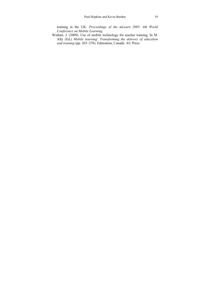training in the UK. *Proceedings of the mLearn 2005: 4th World Conference on Mobile Learning*.

Wishart, J. (2009). Use of mobile technology for teacher training. In M. Ally (Ed.) *Mobile learning: Transforming the delivery of education and training* (pp. 265–278). Edmonton, Canada: AU Press.